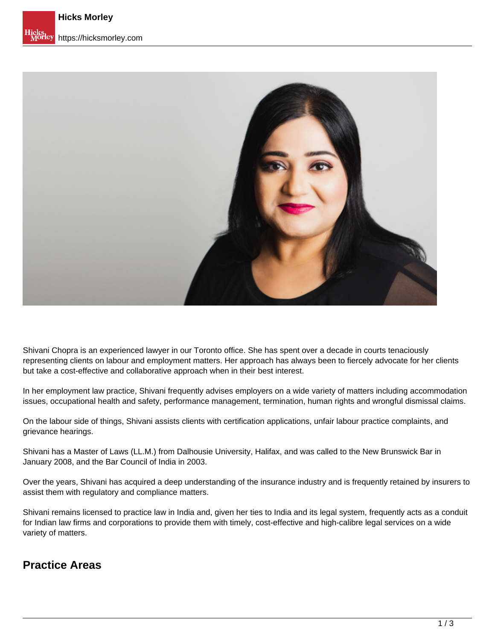

Shivani Chopra is an experienced lawyer in our Toronto office. She has spent over a decade in courts tenaciously representing clients on labour and employment matters. Her approach has always been to fiercely advocate for her clients but take a cost-effective and collaborative approach when in their best interest.

In her employment law practice, Shivani frequently advises employers on a wide variety of matters including accommodation issues, occupational health and safety, performance management, termination, human rights and wrongful dismissal claims.

On the labour side of things, Shivani assists clients with certification applications, unfair labour practice complaints, and grievance hearings.

Shivani has a Master of Laws (LL.M.) from Dalhousie University, Halifax, and was called to the New Brunswick Bar in January 2008, and the Bar Council of India in 2003.

Over the years, Shivani has acquired a deep understanding of the insurance industry and is frequently retained by insurers to assist them with regulatory and compliance matters.

Shivani remains licensed to practice law in India and, given her ties to India and its legal system, frequently acts as a conduit for Indian law firms and corporations to provide them with timely, cost-effective and high-calibre legal services on a wide variety of matters.

#### **Practice Areas**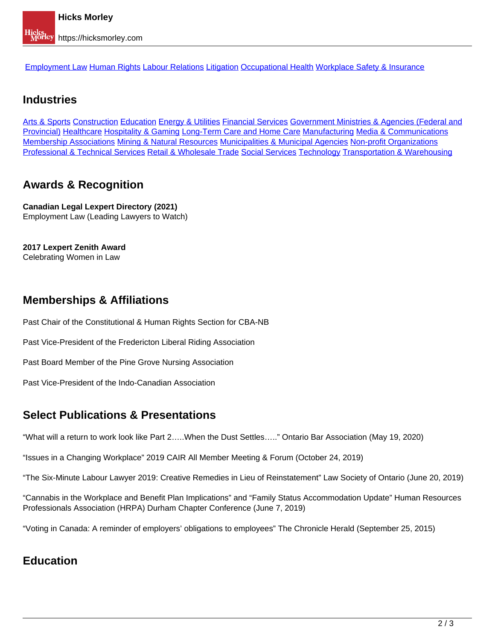[Employment Law](https://hicksmorley.com/expertise/employment-law) Human Rights Labour Relations Litigation Occupational Health Workplace Safety & Insurance

### **Industries**

Arts & Sports Construction Education Energy & Utilities Financial Services Government Ministries & Agencies (Federal and Provincial) Healthcare Hospitality & Gaming Long-Term Care and Home Care Manufacturing Media & Communications Membership Associations Mining & Natural Resources Municipalities & Municipal Agencies Non-profit Organizations Professional & Technical Services Retail & Wholesale Trade Social Services Technology Transportation & Warehousing

# **Awards & Recognition**

**Canadian Legal Lexpert Directory (2021)**  Employment Law (Leading Lawyers to Watch)

**2017 Lexpert Zenith Award** Celebrating Women in Law

# **Memberships & Affiliations**

Past Chair of the Constitutional & Human Rights Section for CBA-NB

Past Vice-President of the Fredericton Liberal Riding Association

Past Board Member of the Pine Grove Nursing Association

Past Vice-President of the Indo-Canadian Association

### **Select Publications & Presentations**

"What will a return to work look like Part 2…..When the Dust Settles….." Ontario Bar Association (May 19, 2020)

"Issues in a Changing Workplace" 2019 CAIR All Member Meeting & Forum (October 24, 2019)

"The Six-Minute Labour Lawyer 2019: Creative Remedies in Lieu of Reinstatement" Law Society of Ontario (June 20, 2019)

"Cannabis in the Workplace and Benefit Plan Implications" and "Family Status Accommodation Update" Human Resources Professionals Association (HRPA) Durham Chapter Conference (June 7, 2019)

"Voting in Canada: A reminder of employers' obligations to employees" The Chronicle Herald (September 25, 2015)

#### **Education**